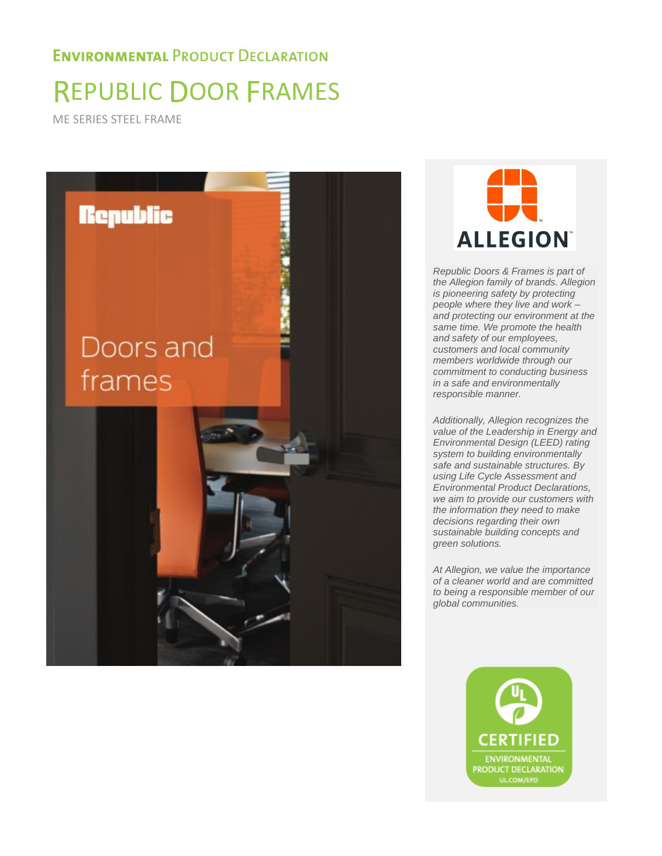# REPUBLIC DOOR FRAMES

ME SERIES STEEL FRAME





*Republic Doors & Frames is part of the Allegion family of brands. Allegion is pioneering safety by protecting people where they live and work – and protecting our environment at the same time. We promote the health and safety of our employees, customers and local community members worldwide through our commitment to conducting business in a safe and environmentally responsible manner.* 

*Additionally, Allegion recognizes the value of the Leadership in Energy and Environmental Design (LEED) rating system to building environmentally safe and sustainable structures. By using Life Cycle Assessment and Environmental Product Declarations, we aim to provide our customers with the information they need to make decisions regarding their own sustainable building concepts and green solutions.* 

*At Allegion, we value the importance of a cleaner world and are committed to being a responsible member of our global communities.* 

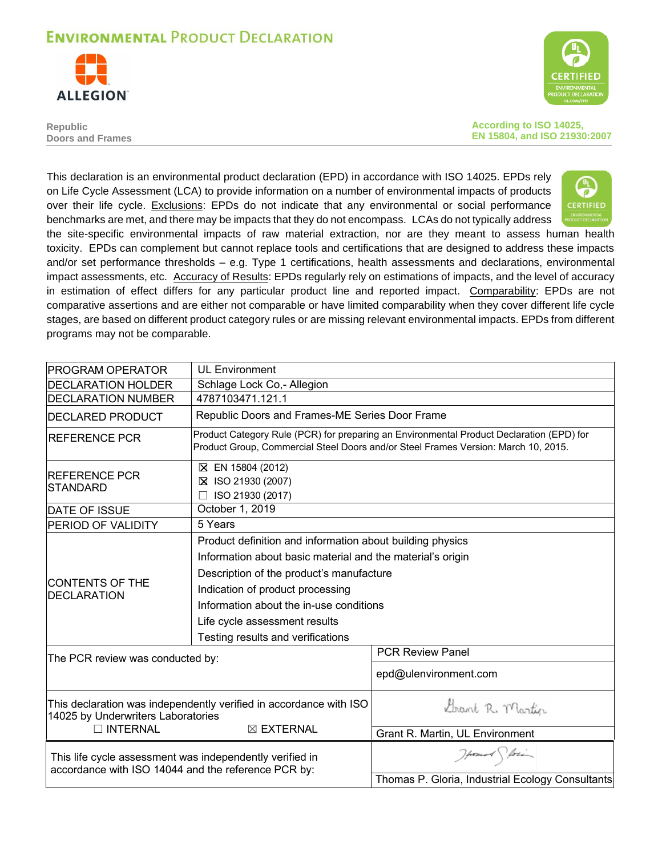



**Republic Doors and Frames** **According to ISO 14025, EN 15804, and ISO 21930:2007** 

This declaration is an environmental product declaration (EPD) in accordance with ISO 14025. EPDs rely on Life Cycle Assessment (LCA) to provide information on a number of environmental impacts of products over their life cycle. Exclusions: EPDs do not indicate that any environmental or social performance benchmarks are met, and there may be impacts that they do not encompass. LCAs do not typically address



the site-specific environmental impacts of raw material extraction, nor are they meant to assess human health toxicity. EPDs can complement but cannot replace tools and certifications that are designed to address these impacts and/or set performance thresholds – e.g. Type 1 certifications, health assessments and declarations, environmental impact assessments, etc. Accuracy of Results: EPDs regularly rely on estimations of impacts, and the level of accuracy in estimation of effect differs for any particular product line and reported impact. Comparability: EPDs are not comparative assertions and are either not comparable or have limited comparability when they cover different life cycle stages, are based on different product category rules or are missing relevant environmental impacts. EPDs from different programs may not be comparable.

| <b>IPROGRAM OPERATOR</b>                                                                                        | <b>UL Environment</b>                                                                                                                                                                                                                                                                                                    |                                                                                                                                                                                |  |  |  |  |  |  |  |
|-----------------------------------------------------------------------------------------------------------------|--------------------------------------------------------------------------------------------------------------------------------------------------------------------------------------------------------------------------------------------------------------------------------------------------------------------------|--------------------------------------------------------------------------------------------------------------------------------------------------------------------------------|--|--|--|--|--|--|--|
| <b>DECLARATION HOLDER</b>                                                                                       | Schlage Lock Co,- Allegion                                                                                                                                                                                                                                                                                               |                                                                                                                                                                                |  |  |  |  |  |  |  |
| <b>IDECLARATION NUMBER</b>                                                                                      | 4787103471.121.1                                                                                                                                                                                                                                                                                                         |                                                                                                                                                                                |  |  |  |  |  |  |  |
| <b>DECLARED PRODUCT</b>                                                                                         |                                                                                                                                                                                                                                                                                                                          | Republic Doors and Frames-ME Series Door Frame                                                                                                                                 |  |  |  |  |  |  |  |
| <b>REFERENCE PCR</b>                                                                                            |                                                                                                                                                                                                                                                                                                                          | Product Category Rule (PCR) for preparing an Environmental Product Declaration (EPD) for<br>Product Group, Commercial Steel Doors and/or Steel Frames Version: March 10, 2015. |  |  |  |  |  |  |  |
| <b>IREFERENCE PCR</b><br><b>STANDARD</b>                                                                        | ⊠ EN 15804 (2012)<br>⊠ ISO 21930 (2007)<br>ISO 21930 (2017)                                                                                                                                                                                                                                                              |                                                                                                                                                                                |  |  |  |  |  |  |  |
| <b>DATE OF ISSUE</b>                                                                                            | October 1, 2019                                                                                                                                                                                                                                                                                                          |                                                                                                                                                                                |  |  |  |  |  |  |  |
| <b>PERIOD OF VALIDITY</b>                                                                                       | 5 Years                                                                                                                                                                                                                                                                                                                  |                                                                                                                                                                                |  |  |  |  |  |  |  |
| <b>CONTENTS OF THE</b><br><b>DECLARATION</b>                                                                    | Product definition and information about building physics<br>Information about basic material and the material's origin<br>Description of the product's manufacture<br>Indication of product processing<br>Information about the in-use conditions<br>Life cycle assessment results<br>Testing results and verifications |                                                                                                                                                                                |  |  |  |  |  |  |  |
| The PCR review was conducted by:                                                                                |                                                                                                                                                                                                                                                                                                                          | <b>PCR Review Panel</b><br>epd@ulenvironment.com                                                                                                                               |  |  |  |  |  |  |  |
| 14025 by Underwriters Laboratories<br>□ INTERNAL                                                                | This declaration was independently verified in accordance with ISO<br>⊠ EXTERNAL                                                                                                                                                                                                                                         | Grant R. Martin<br>Grant R. Martin, UL Environment                                                                                                                             |  |  |  |  |  |  |  |
| This life cycle assessment was independently verified in<br>accordance with ISO 14044 and the reference PCR by: |                                                                                                                                                                                                                                                                                                                          | Howard Storing<br>Thomas P. Gloria, Industrial Ecology Consultants                                                                                                             |  |  |  |  |  |  |  |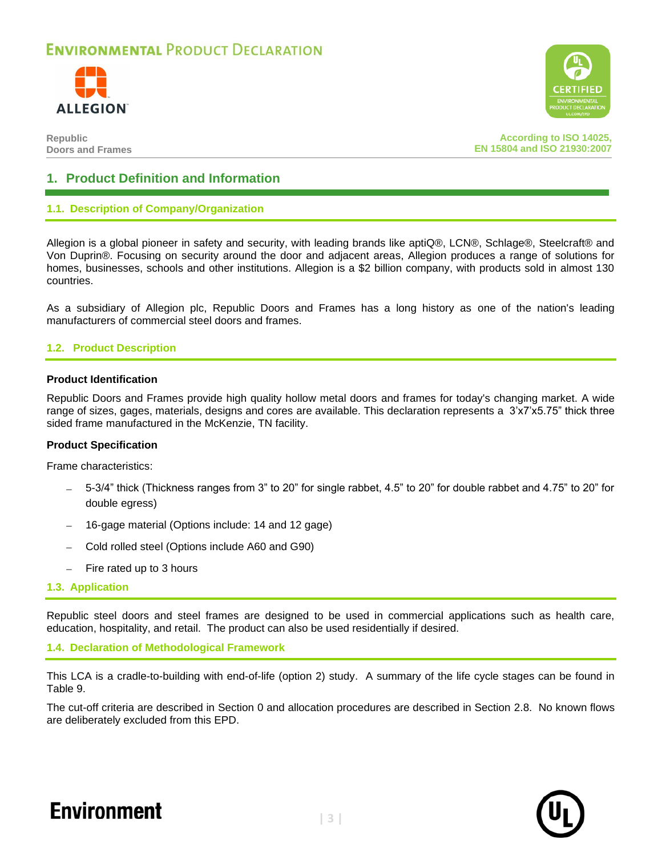



**According to ISO 14025, EN 15804 and ISO 21930:2007**

### **1. Product Definition and Information**

#### **1.1. Description of Company/Organization**

Allegion is a global pioneer in safety and security, with leading brands like aptiQ®, LCN®, Schlage®, Steelcraft® and Von Duprin®. Focusing on security around the door and adjacent areas, Allegion produces a range of solutions for homes, businesses, schools and other institutions. Allegion is a \$2 billion company, with products sold in almost 130 countries.

As a subsidiary of Allegion plc, Republic Doors and Frames has a long history as one of the nation's leading manufacturers of commercial steel doors and frames.

#### **1.2. Product Description**

#### **Product Identification**

Republic Doors and Frames provide high quality hollow metal doors and frames for today's changing market. A wide range of sizes, gages, materials, designs and cores are available. This declaration represents a 3'x7'x5.75" thick three sided frame manufactured in the McKenzie, TN facility.

#### **Product Specification**

Frame characteristics:

- − 5-3/4" thick (Thickness ranges from 3" to 20" for single rabbet, 4.5" to 20" for double rabbet and 4.75" to 20" for double egress)
- − 16-gage material (Options include: 14 and 12 gage)
- − Cold rolled steel (Options include A60 and G90)
- Fire rated up to 3 hours
- **1.3. Application**

Republic steel doors and steel frames are designed to be used in commercial applications such as health care, education, hospitality, and retail. The product can also be used residentially if desired.

**1.4. Declaration of Methodological Framework**

This LCA is a cradle-to-building with end-of-life (option 2) study. A summary of the life cycle stages can be found in [Table 9.](#page-8-0)

The cut-off criteria are described in Section [0](#page-5-0) and allocation procedures are described in Section [2.8.](#page-7-0) No known flows are deliberately excluded from this EPD.

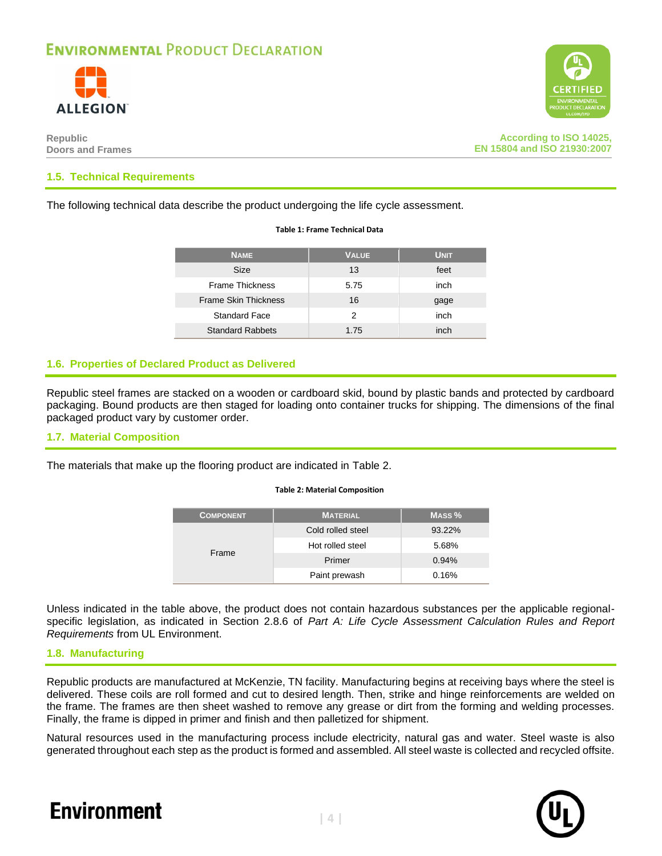



**According to ISO 14025, EN 15804 and ISO 21930:2007**

#### **1.5. Technical Requirements**

The following technical data describe the product undergoing the life cycle assessment.

#### **Table 1: Frame Technical Data**

| <b>NAME</b>                 | <b>VALUE</b> | <b>UNIT</b> |
|-----------------------------|--------------|-------------|
| <b>Size</b>                 | 13           | feet        |
| <b>Frame Thickness</b>      | 5.75         | inch        |
| <b>Frame Skin Thickness</b> | 16           | gage        |
| <b>Standard Face</b>        | 2            | inch        |
| <b>Standard Rabbets</b>     | 1.75         | inch        |

#### **1.6. Properties of Declared Product as Delivered**

Republic steel frames are stacked on a wooden or cardboard skid, bound by plastic bands and protected by cardboard packaging. Bound products are then staged for loading onto container trucks for shipping. The dimensions of the final packaged product vary by customer order.

#### **1.7. Material Composition**

<span id="page-3-0"></span>The materials that make up the flooring product are indicated in [Table 2.](#page-3-0)

#### **Table 2: Material Composition**

| <b>COMPONENT</b> | <b>MATERIAL</b>   | MASS <sub>%</sub> |
|------------------|-------------------|-------------------|
|                  | Cold rolled steel | 93.22%            |
| Frame            | Hot rolled steel  | 5.68%             |
|                  | Primer            | 0.94%             |
|                  | Paint prewash     | 0.16%             |

Unless indicated in the table above, the product does not contain hazardous substances per the applicable regionalspecific legislation, as indicated in Section 2.8.6 of *Part A: Life Cycle Assessment Calculation Rules and Report Requirements* from UL Environment.

#### **1.8. Manufacturing**

Republic products are manufactured at McKenzie, TN facility. Manufacturing begins at receiving bays where the steel is delivered. These coils are roll formed and cut to desired length. Then, strike and hinge reinforcements are welded on the frame. The frames are then sheet washed to remove any grease or dirt from the forming and welding processes. Finally, the frame is dipped in primer and finish and then palletized for shipment.

Natural resources used in the manufacturing process include electricity, natural gas and water. Steel waste is also generated throughout each step as the product is formed and assembled. All steel waste is collected and recycled offsite.



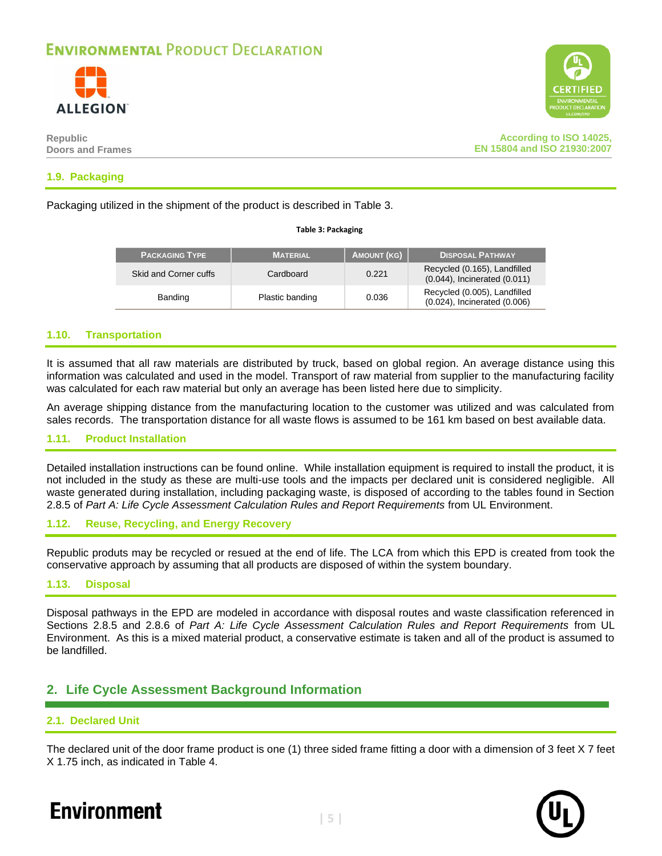

**Republic Doors and Frames**



#### **1.9. Packaging**

<span id="page-4-0"></span>Packaging utilized in the shipment of the product is described in [Table 3.](#page-4-0)

#### **Table 3: Packaging**

| <b>PACKAGING TYPE</b> | <b>MATERIAL</b> | <b>AMOUNT (KG)</b> | <b>DISPOSAL PATHWAY</b>                                      |
|-----------------------|-----------------|--------------------|--------------------------------------------------------------|
| Skid and Corner cuffs | Cardboard       | 0.221              | Recycled (0.165), Landfilled<br>(0.044), Incinerated (0.011) |
| Banding               | Plastic banding | 0.036              | Recycled (0.005), Landfilled<br>(0.024), Incinerated (0.006) |

#### **1.10. Transportation**

It is assumed that all raw materials are distributed by truck, based on global region. An average distance using this information was calculated and used in the model. Transport of raw material from supplier to the manufacturing facility was calculated for each raw material but only an average has been listed here due to simplicity.

An average shipping distance from the manufacturing location to the customer was utilized and was calculated from sales records. The transportation distance for all waste flows is assumed to be 161 km based on best available data.

#### **1.11. Product Installation**

Detailed installation instructions can be found online. While installation equipment is required to install the product, it is not included in the study as these are multi-use tools and the impacts per declared unit is considered negligible. All waste generated during installation, including packaging waste, is disposed of according to the tables found in Section 2.8.5 of *Part A: Life Cycle Assessment Calculation Rules and Report Requirements* from UL Environment.

#### **1.12. Reuse, Recycling, and Energy Recovery**

Republic produts may be recycled or resued at the end of life. The LCA from which this EPD is created from took the conservative approach by assuming that all products are disposed of within the system boundary.

#### **1.13. Disposal**

Disposal pathways in the EPD are modeled in accordance with disposal routes and waste classification referenced in Sections 2.8.5 and 2.8.6 of *Part A: Life Cycle Assessment Calculation Rules and Report Requirements* from UL Environment. As this is a mixed material product, a conservative estimate is taken and all of the product is assumed to be landfilled.

### **2. Life Cycle Assessment Background Information**

#### **2.1. Declared Unit**

The declared unit of the door frame product is one (1) three sided frame fitting a door with a dimension of 3 feet X 7 feet X 1.75 inch, as indicated in [Table 4.](#page-5-1)

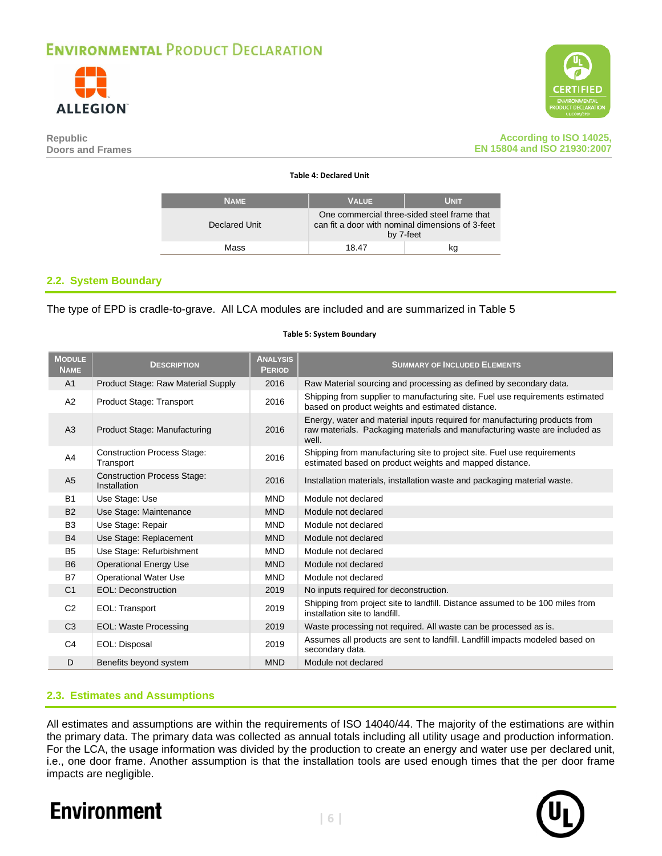

<span id="page-5-1"></span>



#### **According to ISO 14025, EN 15804 and ISO 21930:2007**

#### **Table 4: Declared Unit**

| <b>NAME</b>   | <b>VALUE</b>                                                                                    | <b>UNIT</b> |
|---------------|-------------------------------------------------------------------------------------------------|-------------|
| Declared Unit | One commercial three-sided steel frame that<br>can fit a door with nominal dimensions of 3-feet | by 7-feet   |
| Mass          | 18.47                                                                                           | kq          |

#### **2.2. System Boundary**

<span id="page-5-2"></span>The type of EPD is cradle-to-grave. All LCA modules are included and are summarized in [Table 5](#page-5-2)

#### **MODULE NAME DESCRIPTION ANALYSIS PERIOD SUMMARY OF INCLUDED ELEMENTS** A1 Product Stage: Raw Material Supply 2016 Raw Material sourcing and processing as defined by secondary data. A2 Product Stage: Transport 2016 Shipping from supplier to manufacturing site. Fuel use requirements estimated based on product weights and estimated distance. A3 Product Stage: Manufacturing 2016 Energy, water and material inputs required for manufacturing products from raw materials. Packaging materials and manufacturing waste are included as well. A4 Construction Process Stage:<br>Transport Construction Process Stage: 2016 Shipping from manufacturing site to project site. Fuel use requirements<br>Transport distance. A5 Construction Process Stage:<br>Installation 2016 | Installation materials, installation waste and packaging material waste. B1 Use Stage: Use MND Module not declared B2 Use Stage: Maintenance MND Module not declared B3 Use Stage: Repair MND Module not declared B4 Use Stage: Replacement MND Module not declared B5 Use Stage: Refurbishment MND Module not declared B6 Operational Energy Use MND Module not declared B7 Operational Water Use MND Module not declared C1 EOL: Deconstruction 2019 No inputs required for deconstruction. C2 EOL: Transport 2019 Shipping from project site to landfill. Distance assumed to be 100 miles from installation site to landfill. C3 EOL: Waste Processing 2019 Waste processing not required. All waste can be processed as is. C4 EOL: Disposal 2019 Assumes all products are sent to landfill. Landfill impacts modeled based on secondary data. D Benefits beyond system MND Module not declared

#### **Table 5: System Boundary**

#### **2.3. Estimates and Assumptions**

<span id="page-5-0"></span>All estimates and assumptions are within the requirements of ISO 14040/44. The majority of the estimations are within the primary data. The primary data was collected as annual totals including all utility usage and production information. For the LCA, the usage information was divided by the production to create an energy and water use per declared unit, i.e., one door frame. Another assumption is that the installation tools are used enough times that the per door frame impacts are negligible.

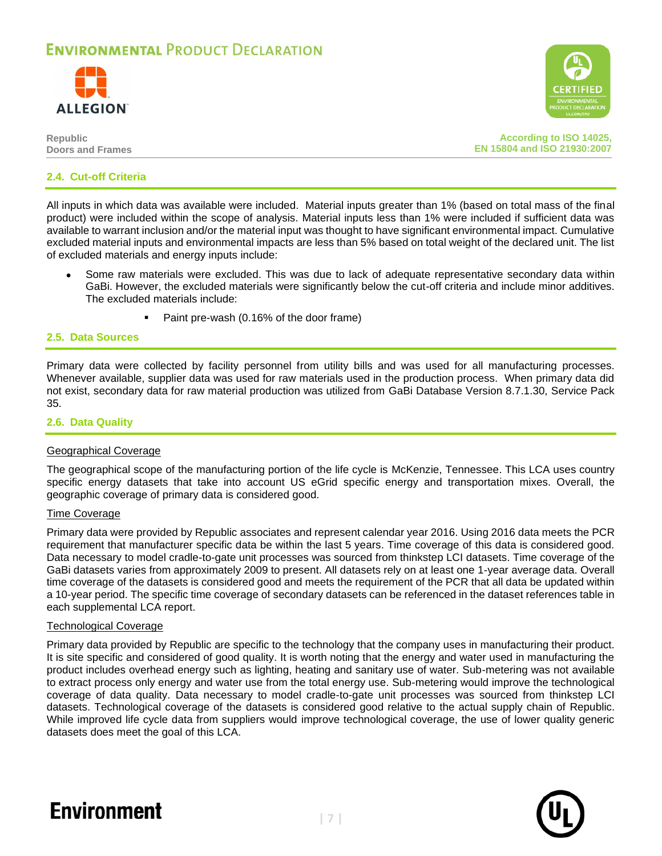





**According to ISO 14025, EN 15804 and ISO 21930:2007**

#### **2.4. Cut-off Criteria**

All inputs in which data was available were included. Material inputs greater than 1% (based on total mass of the final product) were included within the scope of analysis. Material inputs less than 1% were included if sufficient data was available to warrant inclusion and/or the material input was thought to have significant environmental impact. Cumulative excluded material inputs and environmental impacts are less than 5% based on total weight of the declared unit. The list of excluded materials and energy inputs include:

- Some raw materials were excluded. This was due to lack of adequate representative secondary data within GaBi. However, the excluded materials were significantly below the cut-off criteria and include minor additives. The excluded materials include:
	- Paint pre-wash (0.16% of the door frame)

#### **2.5. Data Sources**

Primary data were collected by facility personnel from utility bills and was used for all manufacturing processes. Whenever available, supplier data was used for raw materials used in the production process. When primary data did not exist, secondary data for raw material production was utilized from GaBi Database Version 8.7.1.30, Service Pack 35.

#### **2.6. Data Quality**

#### Geographical Coverage

The geographical scope of the manufacturing portion of the life cycle is McKenzie, Tennessee. This LCA uses country specific energy datasets that take into account US eGrid specific energy and transportation mixes. Overall, the geographic coverage of primary data is considered good.

#### Time Coverage

Primary data were provided by Republic associates and represent calendar year 2016. Using 2016 data meets the PCR requirement that manufacturer specific data be within the last 5 years. Time coverage of this data is considered good. Data necessary to model cradle-to-gate unit processes was sourced from thinkstep LCI datasets. Time coverage of the GaBi datasets varies from approximately 2009 to present. All datasets rely on at least one 1-year average data. Overall time coverage of the datasets is considered good and meets the requirement of the PCR that all data be updated within a 10-year period. The specific time coverage of secondary datasets can be referenced in the dataset references table in each supplemental LCA report.

#### Technological Coverage

Primary data provided by Republic are specific to the technology that the company uses in manufacturing their product. It is site specific and considered of good quality. It is worth noting that the energy and water used in manufacturing the product includes overhead energy such as lighting, heating and sanitary use of water. Sub-metering was not available to extract process only energy and water use from the total energy use. Sub-metering would improve the technological coverage of data quality. Data necessary to model cradle-to-gate unit processes was sourced from thinkstep LCI datasets. Technological coverage of the datasets is considered good relative to the actual supply chain of Republic. While improved life cycle data from suppliers would improve technological coverage, the use of lower quality generic datasets does meet the goal of this LCA.



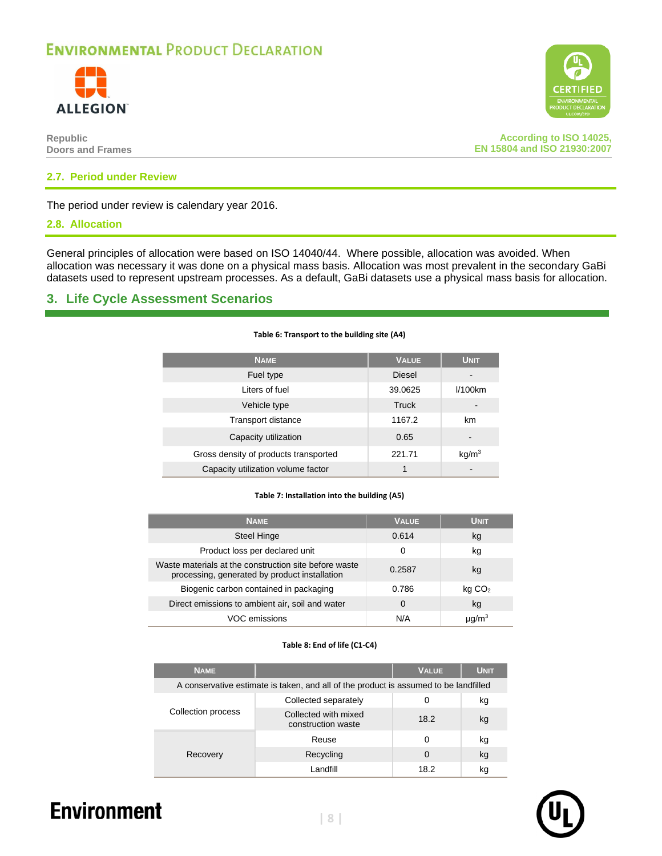



**CERTIE** 

#### **2.7. Period under Review**

The period under review is calendary year 2016.

#### <span id="page-7-0"></span>**2.8. Allocation**

General principles of allocation were based on ISO 14040/44. Where possible, allocation was avoided. When allocation was necessary it was done on a physical mass basis. Allocation was most prevalent in the secondary GaBi datasets used to represent upstream processes. As a default, GaBi datasets use a physical mass basis for allocation.

**Table 6: Transport to the building site (A4)**

### **3. Life Cycle Assessment Scenarios**

| <b>NAME</b>                           | <b>VALUE</b>  | UNIT.             |
|---------------------------------------|---------------|-------------------|
| Fuel type                             | <b>Diesel</b> |                   |
| Liters of fuel                        | 39.0625       | $1/100$ km        |
| Vehicle type                          | Truck         | -                 |
| <b>Transport distance</b>             | 1167.2        | km                |
| Capacity utilization                  | 0.65          | -                 |
| Gross density of products transported | 221.71        | kq/m <sup>3</sup> |
| Capacity utilization volume factor    |               |                   |

#### **Table 7: Installation into the building (A5)**

| <b>NAME</b>                                                                                            | <b>VALUE</b> | <b>UNIT</b>        |
|--------------------------------------------------------------------------------------------------------|--------------|--------------------|
| Steel Hinge                                                                                            | 0.614        | kg                 |
| Product loss per declared unit                                                                         | 0            | kg                 |
| Waste materials at the construction site before waste<br>processing, generated by product installation | 0.2587       | kg                 |
| Biogenic carbon contained in packaging                                                                 | 0.786        | kg CO <sub>2</sub> |
| Direct emissions to ambient air, soil and water                                                        | $\Omega$     | kg                 |
| VOC emissions                                                                                          | N/A          |                    |

#### **Table 8: End of life (C1-C4)**

| <b>NAME</b>                                                                          |                                            | <b>VALUE</b> | UNIT. |
|--------------------------------------------------------------------------------------|--------------------------------------------|--------------|-------|
| A conservative estimate is taken, and all of the product is assumed to be landfilled |                                            |              |       |
|                                                                                      | Collected separately                       | 0            | kg    |
| Collection process                                                                   | Collected with mixed<br>construction waste | 18.2         | kg    |
|                                                                                      | Reuse                                      | 0            | kg    |
| Recovery                                                                             | Recycling                                  | 0            | kg    |
|                                                                                      | I andfill                                  | 18.2         | kq    |

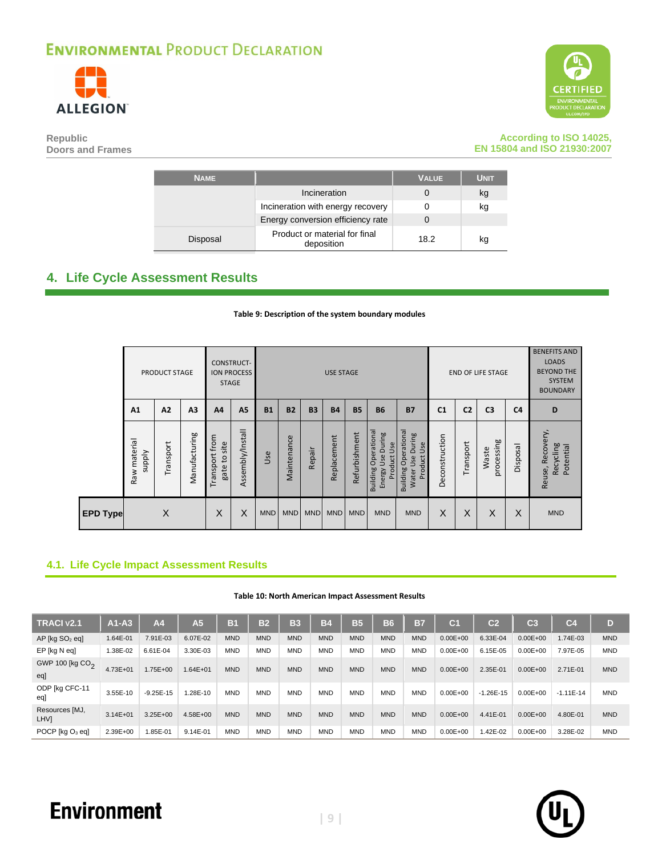



#### **Republic Doors and Frames**

**According to ISO 14025, EN 15804 and ISO 21930:2007**

| <b>NAME</b> |                                             | <b>VALUE</b> | <b>UNIT</b> |
|-------------|---------------------------------------------|--------------|-------------|
|             | Incineration                                |              | kg          |
|             | Incineration with energy recovery           |              | kg          |
|             | Energy conversion efficiency rate           |              |             |
| Disposal    | Product or material for final<br>deposition | 18.2         | kg          |

### <span id="page-8-1"></span><span id="page-8-0"></span>**4. Life Cycle Assessment Results**

#### **Table 9: Description of the system boundary modules**

|                 |                              | <b>PRODUCT STAGE</b> |                | <b>CONSTRUCT-</b><br><b>STAGE</b> | <b>ION PROCESS</b> |            |             |            | <b>USE STAGE</b> |               |                                                                  |                                                                                         |                |                | <b>END OF LIFE STAGE</b> |                | <b>BENEFITS AND</b><br><b>LOADS</b><br><b>BEYOND THE</b><br><b>SYSTEM</b><br><b>BOUNDARY</b> |
|-----------------|------------------------------|----------------------|----------------|-----------------------------------|--------------------|------------|-------------|------------|------------------|---------------|------------------------------------------------------------------|-----------------------------------------------------------------------------------------|----------------|----------------|--------------------------|----------------|----------------------------------------------------------------------------------------------|
|                 | A <sub>1</sub>               | $\Lambda$ 2          | A <sub>3</sub> | A <sub>4</sub>                    | A <sub>5</sub>     | <b>B1</b>  | <b>B2</b>   | <b>B3</b>  | <b>B4</b>        | <b>B5</b>     | <b>B6</b>                                                        | <b>B7</b>                                                                               | C <sub>1</sub> | C <sub>2</sub> | C <sub>3</sub>           | C <sub>4</sub> | D                                                                                            |
|                 | Raw material<br><b>Addns</b> | Transport            | Manufacturing  | Transport from<br>gate to site    | Assembly/Install   | Use        | Maintenance | Repair     | Replacement      | Refurbishment | Building Operational<br>Use During<br>Use<br>Product I<br>Energy | Operational<br>During<br>Use<br>Product<br>Use<br><b>Building</b><br>Water <sup>1</sup> | Deconstruction | Transport      | processing<br>Waste      | Disposal       | Recovery,<br>Recycling<br>Potential<br>Reuse,                                                |
| <b>EPD Type</b> | X                            |                      | X              | X                                 | <b>MND</b>         | <b>MND</b> | <b>MND</b>  | <b>MND</b> | <b>MND</b>       | <b>MND</b>    | <b>MND</b>                                                       | X                                                                                       | X              | X              | X                        | <b>MND</b>     |                                                                                              |

### **4.1. Life Cycle Impact Assessment Results**

#### **Table 10: North American Impact Assessment Results**

| TRACI v2.1                         | $A1-A3$      | A <sub>4</sub> | A <sub>5</sub> | B1         | B <sub>2</sub> | <b>B3</b>  | <b>B4</b>  | <b>B5</b>  | <b>B6</b>  | <b>B7</b>  | C <sub>1</sub> | C <sub>2</sub> | $\mathbf{C}3$ | C <sub>4</sub> | D          |
|------------------------------------|--------------|----------------|----------------|------------|----------------|------------|------------|------------|------------|------------|----------------|----------------|---------------|----------------|------------|
| $AP$ [kg $SO2$ eq]                 | 1.64E-01     | 7.91E-03       | 6.07E-02       | <b>MND</b> | <b>MND</b>     | <b>MND</b> | <b>MND</b> | <b>MND</b> | <b>MND</b> | <b>MND</b> | $0.00E + 00$   | 6.33E-04       | $0.00E + 00$  | 1.74E-03       | <b>MND</b> |
| EP [kg N eq]                       | 38E-02       | 6.61E-04       | 3.30E-03       | <b>MND</b> | <b>MND</b>     | <b>MND</b> | <b>MND</b> | <b>MND</b> | <b>MND</b> | <b>MND</b> | $0.00E + 00$   | 6.15E-05       | $0.00E + 00$  | 7.97E-05       | <b>MND</b> |
| GWP 100 [kg CO <sub>2</sub><br>egl | $4.73E + 01$ | $.75E + 00$    | $1.64E + 01$   | <b>MND</b> | <b>MND</b>     | <b>MND</b> | <b>MND</b> | <b>MND</b> | <b>MND</b> | <b>MND</b> | $0.00E + 00$   | 2.35E-01       | $0.00E + 00$  | 2.71E-01       | <b>MND</b> |
| ODP [kg CFC-11<br>eal              | 3.55E-10     | $-9.25E - 15$  | .28E-10        | <b>MND</b> | <b>MND</b>     | <b>MND</b> | <b>MND</b> | <b>MND</b> | <b>MND</b> | <b>MND</b> | $0.00E + 00$   | $-1.26E - 15$  | $0.00E + 00$  | $-1.11E-14$    | <b>MND</b> |
| Resources [MJ,<br><b>LHVI</b>      | $3.14E + 01$ | $3.25E + 00$   | $4.58E + 00$   | <b>MND</b> | <b>MND</b>     | <b>MND</b> | <b>MND</b> | <b>MND</b> | <b>MND</b> | <b>MND</b> | $0.00E + 00$   | 4.41E-01       | $0.00E + 00$  | 4.80E-01       | <b>MND</b> |
| POCP $[kq O_3$ eq]                 | 2.39E+00     | $.85E-01$      | 9.14E-01       | <b>MND</b> | <b>MND</b>     | <b>MND</b> | <b>MND</b> | <b>MND</b> | <b>MND</b> | <b>MND</b> | $0.00E + 00$   | $.42E-02$      | $0.00E + 00$  | 3.28E-02       | <b>MND</b> |

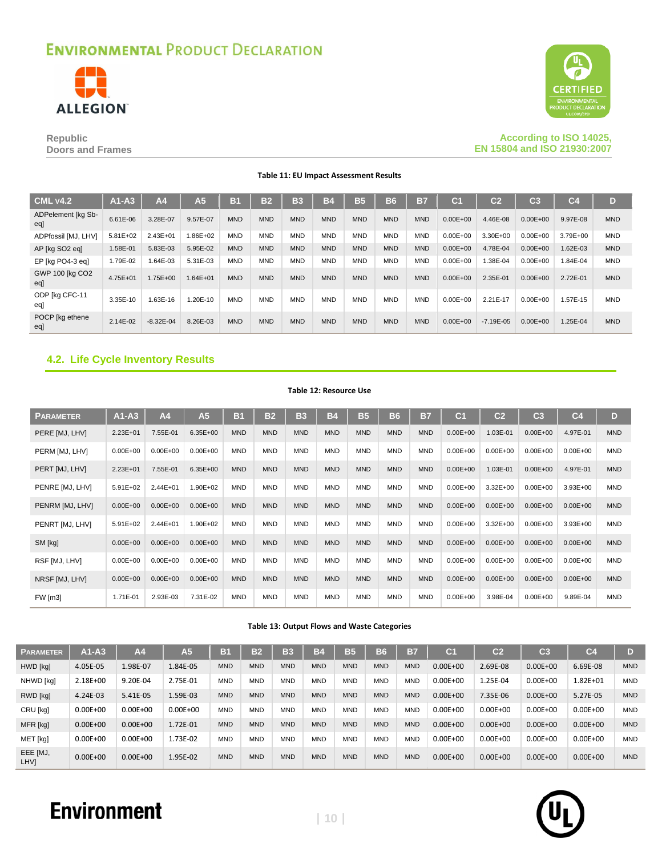



#### **Republic Doors and Frames**

#### **According to ISO 14025, EN 15804 and ISO 21930:2007**

**Table 11: EU Impact Assessment Results**

| <b>CML v4.2</b>           | $A1-A3$      | A <sub>4</sub> | A5           | B <sub>1</sub> | <b>B2</b>  | <b>B3</b>  | B4         | <b>B5</b>  | <b>B6</b>  | <b>B7</b>  | C <sub>1</sub> | $\overline{c}$ | C <sub>3</sub> | C <sub>4</sub> | D          |
|---------------------------|--------------|----------------|--------------|----------------|------------|------------|------------|------------|------------|------------|----------------|----------------|----------------|----------------|------------|
| ADPelement [kg Sb-<br>egl | 6.61E-06     | 3.28E-07       | 9.57E-07     | <b>MND</b>     | <b>MND</b> | <b>MND</b> | <b>MND</b> | <b>MND</b> | <b>MND</b> | <b>MND</b> | $0.00E + 00$   | 4.46E-08       | $0.00E + 00$   | 9.97E-08       | <b>MND</b> |
| ADPfossil [MJ, LHV]       | $5.81E + 02$ | $2.43E + 01$   | 1.86E+02     | <b>MND</b>     | <b>MND</b> | <b>MND</b> | <b>MND</b> | <b>MND</b> | <b>MND</b> | <b>MND</b> | $0.00E + 00$   | $3.30E + 00$   | $0.00E + 00$   | 3.79E+00       | <b>MND</b> |
| AP [kg SO2 eq]            | 1.58E-01     | 5.83E-03       | 5.95E-02     | <b>MND</b>     | <b>MND</b> | <b>MND</b> | <b>MND</b> | <b>MND</b> | <b>MND</b> | <b>MND</b> | $0.00E + 00$   | 4.78E-04       | $0.00E + 00$   | 1.62E-03       | <b>MND</b> |
| EP [kg PO4-3 eg]          | 1.79E-02     | 1.64E-03       | 5.31E-03     | <b>MND</b>     | <b>MND</b> | <b>MND</b> | <b>MND</b> | <b>MND</b> | <b>MND</b> | <b>MND</b> | $0.00E + 00$   | 1.38E-04       | $0.00E + 00$   | $.84E-04$      | <b>MND</b> |
| GWP 100 [kg CO2<br>eql    | $4.75E + 01$ | 1.75E+00       | $1.64E + 01$ | <b>MND</b>     | <b>MND</b> | <b>MND</b> | <b>MND</b> | <b>MND</b> | <b>MND</b> | <b>MND</b> | $0.00E + 00$   | 2.35E-01       | $0.00E + 00$   | 2.72E-01       | <b>MND</b> |
| ODP [kg CFC-11<br>eql     | 3.35E-10     | 1.63E-16       | 1.20E-10     | <b>MND</b>     | <b>MND</b> | <b>MND</b> | <b>MND</b> | <b>MND</b> | <b>MND</b> | <b>MND</b> | $0.00E + 00$   | 2.21E-17       | $0.00E + 00$   | .57E-15        | <b>MND</b> |
| POCP [kg ethene<br>eal    | 2.14E-02     | $-8.32E - 04$  | 8.26E-03     | <b>MND</b>     | <b>MND</b> | <b>MND</b> | <b>MND</b> | <b>MND</b> | <b>MND</b> | <b>MND</b> | $0.00E + 00$   | $-7.19E - 0.5$ | $0.00E + 00$   | 1.25E-04       | <b>MND</b> |

### **4.2. Life Cycle Inventory Results**

#### **Table 12: Resource Use**

| <b>PARAMETER</b> | $A1-A3$      | A <sub>4</sub> | A <sub>5</sub> | B <sub>1</sub> | <b>B2</b>  | <b>B3</b>  | <b>B4</b>  | <b>B5</b>  | <b>B6</b>  | <b>B7</b>  | C <sub>1</sub> | C <sub>2</sub> | C <sub>3</sub> | C <sub>4</sub> | D          |
|------------------|--------------|----------------|----------------|----------------|------------|------------|------------|------------|------------|------------|----------------|----------------|----------------|----------------|------------|
| PERE [MJ, LHV]   | $2.23E + 01$ | 7.55E-01       | $6.35E + 00$   | <b>MND</b>     | <b>MND</b> | <b>MND</b> | <b>MND</b> | <b>MND</b> | <b>MND</b> | <b>MND</b> | $0.00E + 00$   | 1.03E-01       | $0.00E + 00$   | 4.97E-01       | <b>MND</b> |
| PERM [MJ, LHV]   | $0.00E + 00$ | $0.00E + 00$   | $0.00E + 00$   | <b>MND</b>     | <b>MND</b> | <b>MND</b> | <b>MND</b> | <b>MND</b> | <b>MND</b> | <b>MND</b> | $0.00E + 00$   | $0.00E + 00$   | $0.00E + 00$   | $0.00E + 00$   | <b>MND</b> |
| PERT [MJ, LHV]   | 2.23E+01     | 7.55E-01       | $6.35E + 00$   | <b>MND</b>     | <b>MND</b> | <b>MND</b> | <b>MND</b> | <b>MND</b> | <b>MND</b> | <b>MND</b> | $0.00E + 00$   | 1.03E-01       | $0.00E + 00$   | 4.97E-01       | <b>MND</b> |
| PENRE [MJ, LHV]  | $5.91E + 02$ | $2.44E + 01$   | 1.90E+02       | <b>MND</b>     | <b>MND</b> | <b>MND</b> | <b>MND</b> | <b>MND</b> | <b>MND</b> | <b>MND</b> | $0.00E + 00$   | $3.32E + 00$   | $0.00E + 00$   | $3.93E + 00$   | <b>MND</b> |
| PENRM [MJ, LHV]  | $0.00E + 00$ | $0.00E + 00$   | $0.00E + 00$   | <b>MND</b>     | <b>MND</b> | <b>MND</b> | <b>MND</b> | <b>MND</b> | <b>MND</b> | <b>MND</b> | $0.00E + 00$   | $0.00E + 00$   | $0.00E + 00$   | $0.00E + 00$   | <b>MND</b> |
| PENRT [MJ, LHV]  | $5.91E + 02$ | $2.44E + 01$   | 1.90E+02       | <b>MND</b>     | <b>MND</b> | <b>MND</b> | <b>MND</b> | <b>MND</b> | <b>MND</b> | <b>MND</b> | $0.00E + 00$   | $3.32E + 00$   | $0.00E + 00$   | $3.93E + 00$   | <b>MND</b> |
| SM [kg]          | $0.00E + 00$ | $0.00E + 00$   | $0.00E + 00$   | <b>MND</b>     | <b>MND</b> | <b>MND</b> | <b>MND</b> | <b>MND</b> | <b>MND</b> | <b>MND</b> | $0.00E + 00$   | $0.00E + 00$   | $0.00E + 00$   | $0.00E + 00$   | <b>MND</b> |
| RSF [MJ, LHV]    | $0.00E + 00$ | $0.00E + 00$   | $0.00E + 00$   | <b>MND</b>     | <b>MND</b> | <b>MND</b> | <b>MND</b> | <b>MND</b> | <b>MND</b> | <b>MND</b> | $0.00E + 00$   | $0.00E + 00$   | $0.00E + 00$   | $0.00E + 00$   | <b>MND</b> |
| NRSF [MJ, LHV]   | $0.00E + 00$ | $0.00E + 00$   | $0.00E + 00$   | <b>MND</b>     | <b>MND</b> | <b>MND</b> | <b>MND</b> | <b>MND</b> | <b>MND</b> | <b>MND</b> | $0.00E + 00$   | $0.00E + 00$   | $0.00E + 00$   | $0.00E + 00$   | <b>MND</b> |
| <b>FW</b> [m3]   | 1.71E-01     | 2.93E-03       | 7.31E-02       | <b>MND</b>     | <b>MND</b> | <b>MND</b> | <b>MND</b> | <b>MND</b> | <b>MND</b> | <b>MND</b> | $0.00E + 00$   | 3.98E-04       | $0.00E + 00$   | 9.89E-04       | <b>MND</b> |

#### **Table 13: Output Flows and Waste Categories**

| <b>PARAMETER</b> | $A1 - A3$    | A <sub>4</sub> | A <sub>5</sub> | B <sub>1</sub> | B <sub>2</sub> | <b>B3</b>  | <b>B4</b>  | <b>B5</b>  | <b>B6</b>  | B7         | C1           | C <sub>2</sub> | C3           | C <sub>4</sub> | D          |
|------------------|--------------|----------------|----------------|----------------|----------------|------------|------------|------------|------------|------------|--------------|----------------|--------------|----------------|------------|
| HWD [kg]         | 4.05E-05     | L.98E-07       | 1.84E-05       | <b>MND</b>     | <b>MND</b>     | <b>MND</b> | <b>MND</b> | <b>MND</b> | <b>MND</b> | <b>MND</b> | $0.00E + 00$ | 2.69E-08       | $0.00E + 00$ | 6.69E-08       | <b>MND</b> |
| NHWD [kg]        | 2.18E+00     | 9.20E-04       | 2.75E-01       | <b>MND</b>     | <b>MND</b>     | <b>MND</b> | <b>MND</b> | <b>MND</b> | <b>MND</b> | <b>MND</b> | $0.00E + 00$ | 1.25E-04       | $0.00E + 00$ | 1.82E+01       | <b>MND</b> |
| RWD [kg]         | 4.24E-03     | 5.41E-05       | 1.59E-03       | <b>MND</b>     | <b>MND</b>     | <b>MND</b> | <b>MND</b> | <b>MND</b> | <b>MND</b> | <b>MND</b> | $0.00E + 00$ | 7.35E-06       | $0.00E + 00$ | 5.27E-05       | <b>MND</b> |
| CRU [kg]         | $0.00E + 00$ | $0.00E + 00$   | $0.00E + 00$   | <b>MND</b>     | <b>MND</b>     | <b>MND</b> | <b>MND</b> | <b>MND</b> | <b>MND</b> | <b>MND</b> | $0.00E + 00$ | $0.00E + 00$   | $0.00E + 00$ | $0.00E + 00$   | <b>MND</b> |
| MFR [kg]         | $0.00E + 00$ | $0.00E + 00$   | 1.72E-01       | <b>MND</b>     | <b>MND</b>     | <b>MND</b> | <b>MND</b> | <b>MND</b> | <b>MND</b> | <b>MND</b> | $0.00E + 00$ | $0.00E + 00$   | $0.00E + 00$ | $0.00E + 00$   | <b>MND</b> |
| MET [kg]         | $0.00E + 00$ | $0.00E + 00$   | 1.73E-02       | <b>MND</b>     | <b>MND</b>     | <b>MND</b> | <b>MND</b> | <b>MND</b> | <b>MND</b> | <b>MND</b> | $0.00E + 00$ | $0.00E + 00$   | $0.00E + 00$ | $0.00E + 00$   | <b>MND</b> |
| EEE [MJ,<br>LHV1 | $0.00E + 00$ | $0.00E + 00$   | 1.95E-02       | <b>MND</b>     | <b>MND</b>     | <b>MND</b> | <b>MND</b> | <b>MND</b> | <b>MND</b> | <b>MND</b> | $0.00E + 00$ | $0.00E + 00$   | $0.00E + 00$ | $0.00E + 00$   | <b>MND</b> |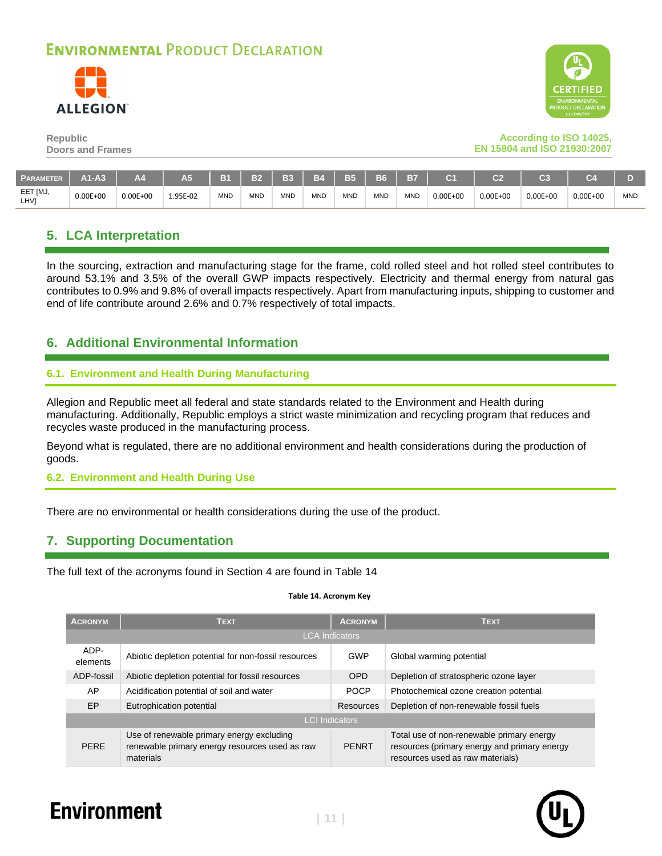



#### **According to ISO 14025, EN 15804 and ISO 21930:2007**

| <b>PARAMETER</b> | A1-A3        | Α4           | A5       | B <sub>1</sub> | B <sub>2</sub> | <b>B3</b>  | <b>B4</b>  | <b>B5</b> | <b>B6</b>  | <b>B7</b>  | 24           | $\sim$       | C <sub>3</sub> | C7           |            |
|------------------|--------------|--------------|----------|----------------|----------------|------------|------------|-----------|------------|------------|--------------|--------------|----------------|--------------|------------|
| EET [MJ,<br>LHV1 | $0.00E + 00$ | $0.00E + 00$ | 1.95E-02 | MND            | <b>MND</b>     | <b>MND</b> | <b>MND</b> | MND       | <b>MND</b> | <b>MND</b> | $0.00E + 00$ | $0.00E + 00$ | $0.00E + 00$   | $0.00E + 00$ | <b>MND</b> |

### **5. LCA Interpretation**

In the sourcing, extraction and manufacturing stage for the frame, cold rolled steel and hot rolled steel contributes to around 53.1% and 3.5% of the overall GWP impacts respectively. Electricity and thermal energy from natural gas contributes to 0.9% and 9.8% of overall impacts respectively. Apart from manufacturing inputs, shipping to customer and end of life contribute around 2.6% and 0.7% respectively of total impacts.

### **6. Additional Environmental Information**

#### **6.1. Environment and Health During Manufacturing**

Allegion and Republic meet all federal and state standards related to the Environment and Health during manufacturing. Additionally, Republic employs a strict waste minimization and recycling program that reduces and recycles waste produced in the manufacturing process.

Beyond what is regulated, there are no additional environment and health considerations during the production of goods.

#### **6.2. Environment and Health During Use**

There are no environmental or health considerations during the use of the product.

### **7. Supporting Documentation**

<span id="page-10-0"></span>The full text of the acronyms found in Section [4](#page-8-1) are found in [Table 14](#page-10-0)

#### **Table 14. Acronym Key**

| <b>ACRONYM</b>        | <b>TEXT</b>                                                                                              | <b>ACRONYM</b> | <b>TEXT</b>                                                                                                                   |  |  |  |  |  |  |  |
|-----------------------|----------------------------------------------------------------------------------------------------------|----------------|-------------------------------------------------------------------------------------------------------------------------------|--|--|--|--|--|--|--|
| <b>LCA Indicators</b> |                                                                                                          |                |                                                                                                                               |  |  |  |  |  |  |  |
| ADP-<br>elements      | Abiotic depletion potential for non-fossil resources                                                     | GWP            | Global warming potential                                                                                                      |  |  |  |  |  |  |  |
| ADP-fossil            | Abiotic depletion potential for fossil resources                                                         | <b>OPD</b>     | Depletion of stratospheric ozone layer                                                                                        |  |  |  |  |  |  |  |
| AP                    | Acidification potential of soil and water                                                                | <b>POCP</b>    | Photochemical ozone creation potential                                                                                        |  |  |  |  |  |  |  |
| EP.                   | Eutrophication potential                                                                                 | Resources      | Depletion of non-renewable fossil fuels                                                                                       |  |  |  |  |  |  |  |
| <b>LCI</b> Indicators |                                                                                                          |                |                                                                                                                               |  |  |  |  |  |  |  |
| <b>PERE</b>           | Use of renewable primary energy excluding<br>renewable primary energy resources used as raw<br>materials | <b>PENRT</b>   | Total use of non-renewable primary energy<br>resources (primary energy and primary energy<br>resources used as raw materials) |  |  |  |  |  |  |  |